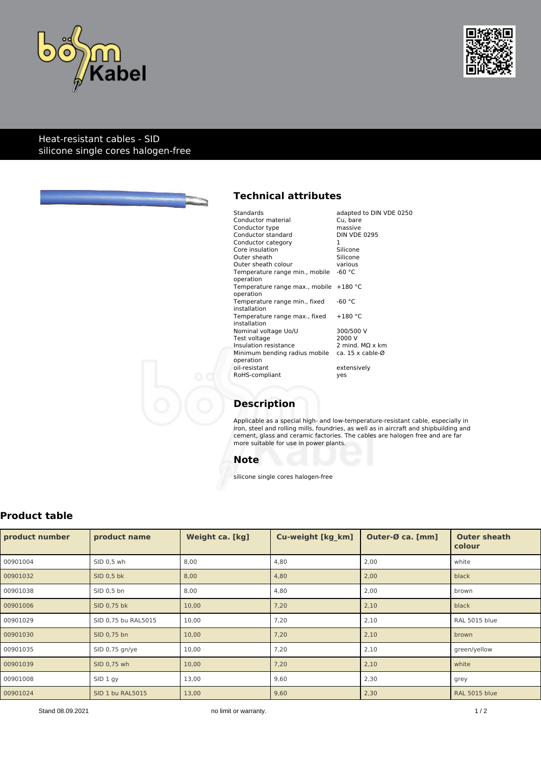



### Heat-resistant cables - SID silicone single cores halogen-free



# **Technical attributes**

| Standards                                      | adapted to DIN VDE 0250     |
|------------------------------------------------|-----------------------------|
| Conductor material                             | Cu. bare                    |
| Conductor type                                 | massive                     |
| Conductor standard                             | <b>DIN VDE 0295</b>         |
| Conductor category                             | 1                           |
| Core insulation                                | Silicone                    |
| Outer sheath                                   | Silicone                    |
| Outer sheath colour                            | various                     |
| Temperature range min., mobile -60 °C          |                             |
| operation                                      |                             |
| Temperature range max., mobile +180 °C         |                             |
| operation                                      |                             |
| Temperature range min., fixed                  | $-60 °C$                    |
| installation                                   |                             |
| Temperature range max., fixed                  | $+180 °C$                   |
| installation                                   |                             |
| Nominal voltage Uo/U                           | 300/500 V                   |
| Test voltage                                   | 2000 V                      |
| Insulation resistance                          | 2 mind. $M\Omega \times$ km |
| Minimum bending radius mobile ca. 15 x cable-Ø |                             |
| operation                                      |                             |
| oil-resistant                                  | extensively                 |
| RoHS-compliant                                 | yes                         |
|                                                |                             |

# **Description**

Applicable as a special high- and low-temperature-resistant cable, especially in iron, steel and rolling mills, foundries, as well as in aircraft and shipbuilding and cement, glass and ceramic factories. The cables are halogen free and are far more suitable for use in power plants.

### **Note**

silicone single cores halogen-free

# **Product table**

| product number | product name        | Weight ca. [kg] | <b>Cu-weight [kg km]</b> | Outer-Ø ca. [mm] | <b>Outer sheath</b><br>colour |
|----------------|---------------------|-----------------|--------------------------|------------------|-------------------------------|
| 00901004       | SID 0,5 wh          | 8,00            | 4,80                     | 2,00             | white                         |
| 00901032       | SID 0,5 bk          | 8,00            | 4,80                     | 2,00             | black                         |
| 00901038       | SID 0,5 bn          | 8,00            | 4,80                     | 2,00             | brown                         |
| 00901006       | SID 0,75 bk         | 10,00           | 7,20                     | 2,10             | black                         |
| 00901029       | SID 0,75 bu RAL5015 | 10,00           | 7,20                     | 2,10             | RAL 5015 blue                 |
| 00901030       | SID 0,75 bn         | 10,00           | 7,20                     | 2,10             | brown                         |
| 00901035       | SID 0,75 gn/ye      | 10,00           | 7,20                     | 2,10             | green/yellow                  |
| 00901039       | SID 0,75 wh         | 10,00           | 7,20                     | 2,10             | white                         |
| 00901008       | SID 1 gy            | 13,00           | 9,60                     | 2,30             | grey                          |
| 00901024       | SID 1 bu RAL5015    | 13,00           | 9,60                     | 2,30             | RAL 5015 blue                 |